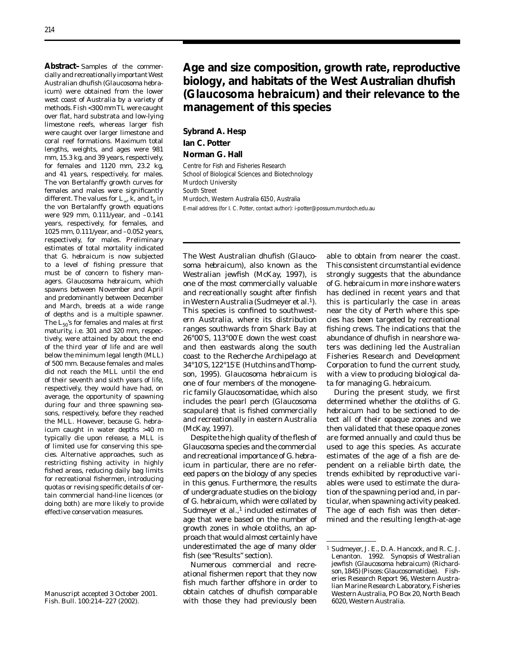**Abstract–**Samples of the commercially and recreationally importantWest Australian dhufish (*Glaucosoma hebraicum*) were obtained from the lower west coast of Australia by a variety of methods. Fish <300 mm TL were caught over flat, hard substrata and low-lying limestone reefs, whereas larger fish were caught over larger limestone and coral reef formations. Maximum total lengths, weights, and ages were 981 mm, 15.3 kg, and 39 years, respectively, for females and 1120 mm, 23.2 kg, and 41 years, respectively, for males. The von Bertalanffy growth curves for females and males were significantly different. The values for  $L_{\infty}$ ,  $\tilde{k}$ , and  $t_0$  in the von Bertalanffy growth equations were 929 mm, 0.111/year, and –0.141 years, respectively, for females, and 1025 mm, 0.111/year, and –0.052 years, respectively, for males. Preliminary estimates of total mortality indicated that *G. hebraicum* is now subjected to a level of fishing pressure that must be of concern to fishery managers. *Glaucosoma hebraicum*, which spawns between November and April and predominantly between December and March, breeds at a wide range of depths and is a multiple spawner. The  $L_{50}$ 's for females and males at first maturity, i.e. 301 and 320 mm, respectively, were attained by about the end of the third year of life and are well below the minimum legal length (MLL) of 500 mm. Because females and males did not reach the MLL until the end of their seventh and sixth years of life, respectively, they would have had, on average, the opportunity of spawning during four and three spawning seasons, respectively, before they reached the MLL. However, because *G. hebraicum* caught in water depths >40 m typically die upon release, a MLL is of limited use for conserving this species. Alternative approaches, such as restricting fishing activity in highly fished areas, reducing daily bag limits for recreational fishermen, introducing quotas or revising specific details of certain commercial hand-line licences (or doing both) are more likely to provide effective conservation measures.

Manuscript accepted 3 October 2001. Fish. Bull. 100:214–227 (2002).

## **Age and size composition, growth rate, reproductive biology, and habitats of the West Australian dhufish (***Glaucosoma hebraicum)* **and their relevance to the management of this species**

# **Sybrand A. Hesp Ian C. Potter**

**Norman G. Hall** 

Centre for Fish and Fisheries Research School of Biological Sciences and Biotechnology Murdoch University South Street Murdoch, Western Australia 6150, Australia E-mail address (for I. C. Potter, contact author): i-potter@possum.murdoch.edu.au

The West Australian dhufish (*Glauco-* able to obtain from nearer the coast. *soma hebraicum*), also known as the This consistent circumstantial evidence Westralian jewfish (McKay, 1997), is strongly suggests that the abundance one of the most commercially valuable of *G. hebraicum* in more inshore waters and recreationally sought after finfish has declined in recent years and that in Western Australia (Sudmeyer et al*.* This species is confined to southwest- near the city of Perth where this speern Australia, where its distribution cies has been targeted by recreational ranges southwards from Shark Bay at fishing crews. The indications that the 26°00′S, 113°00′E down the west coast abundance of dhufish in nearshore wa-34°10′S, 122°15′E (Hutchins andThomp- Corporation to fund the current study, son, 1995). *Glaucosoma hebraicum* is with a view to producing biological daone of four members of the monogene- ta for managing *G. hebraicum*.

age that were based on the number of mined and the resulting length-at-age growth zones in whole otoliths, an approach that would almost certainly have underestimated the age of many older 1 Sudmeyer, J. E., D. A. Hancock, and R. C. J.<br>1992 Synopsis of Westralian

ational fishermen report that they now son, 1845) (Pisces: Glaucosomatidae). Fish-<br>Files Research Report 96, Western Austraexample of the Research Report 96, Western Australian fish much farther offshore in order to lian Marine Research Laboratory, Fisheries<br>
lian datches of dhufish comparable laboratory, Australia PO Box 20 North Beach with those they had previously been 6020, Western Australia.

this is particularly the case in areas and then eastwards along the south ters was declining led the Australian coast to the Recherche Archipelago at Fisheries Research and Development

ric family Glaucosomatidae, which also During the present study, we first includes the pearl perch (*Glaucosoma* determined whether the otoliths of *G. scapulare*) that is fished commercially *hebraicum* had to be sectioned to deand recreationally in eastern Australia tect all of their opaque zones and we (McKay, 1997). then validated that these opaque zones Despite the high quality of the flesh of are formed annually and could thus be *Glaucosoma* species and the commercial used to age this species. As accurate and recreational importance of *G. hebra-* estimates of the age of a fish are de*icum* in particular, there are no refer- pendent on a reliable birth date, the eed papers on the biology of any species trends exhibited by reproductive variin this genus. Furthermore, the results ables were used to estimate the duraof undergraduate studies on the biology tion of the spawning period and, in parof *G. hebraicum*, which were collated by ticular, when spawning activity peaked. Sudmeyer et al.,<sup>1</sup> included estimates of The age of each fish was then deter-

Lenanton. 1992. Synopsis of Westralian<br>
iewfish (*Glaucosoma hebraicum*) (Richard-Numerous commercial and recre- jewfish (*Glaucosoma hebraicum*) (Richard-Western Australia, PO Box 20, North Beach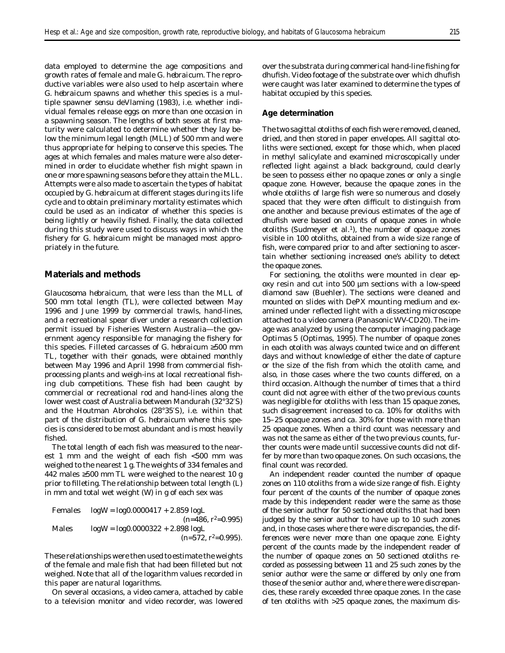data employed to determine the age compositions and growth rates of female and male *G. hebraicum*. The reproductive variables were also used to help ascertain where *G. hebraicum* spawns and whether this species is a multiple spawner *sensu* deVlaming (1983), i.e. whether individual females release eggs on more than one occasion in a spawning season. The lengths of both sexes at first maturity were calculated to determine whether they lay below the minimum legal length (MLL) of 500 mm and were thus appropriate for helping to conserve this species. The ages at which females and males mature were also determined in order to elucidate whether fish might spawn in one or more spawning seasons before they attain the MLL. Attempts were also made to ascertain the types of habitat occupied by *G. hebraicum* at different stages during its life cycle and to obtain preliminary mortality estimates which could be used as an indicator of whether this species is being lightly or heavily fished. Finally, the data collected during this study were used to discuss ways in which the fishery for *G. hebraicum* might be managed most appropriately in the future*.* 

## **Materials and methods**

*Glaucosoma hebraicum,* that were less than the MLL of 500 mm total length (TL), were collected between May 1996 and June 1999 by commercial trawls, hand-lines, and a recreational spear diver under a research collection permit issued by Fisheries Western Australia—the government agency responsible for managing the fishery for this species. Filleted carcasses of *G. hebraicum* ≥500 mm TL, together with their gonads, were obtained monthly between May 1996 and April 1998 from commercial fishprocessing plants and weigh-ins at local recreational fishing club competitions. These fish had been caught by commercial or recreational rod and hand-lines along the lower west coast of Australia between Mandurah (32°32′S) and the Houtman Abroholos (28°35′S), i.e. within that part of the distribution of *G. hebraicum* where this species is considered to be most abundant and is most heavily fished.

The total length of each fish was measured to the nearest 1 mm and the weight of each fish <500 mm was weighed to the nearest 1 g. The weights of 334 females and 442 males  $\geq 500$  mm TL were weighed to the nearest 10 g prior to filleting. The relationship between total length (*L*) in mm and total wet weight (*W*) in g of each sex was

Females

\n
$$
\log W = \log 0.0000417 + 2.859 \log L
$$
\n
$$
(n=486, r^{2}=0.995)
$$
\nMales

\n
$$
\log W = \log 0.0000322 + 2.898 \log L
$$
\n
$$
(n=572, r^{2}=0.995).
$$

These relationships were then used to estimate the weights of the female and male fish that had been filleted but not weighed. Note that all of the logarithm values recorded in this paper are natural logarithms.

On several occasions, a video camera, attached by cable to a television monitor and video recorder, was lowered

over the substrata during commerical hand-line fishing for dhufish. Video footage of the substrate over which dhufish were caught was later examined to determine the types of habitat occupied by this species.

#### **Age determination**

The two sagittal otoliths of each fish were removed, cleaned, dried, and then stored in paper envelopes. All sagittal otoliths were sectioned, except for those which, when placed in methyl salicylate and examined microscopically under reflected light against a black background, could clearly be seen to possess either no opaque zones or only a single opaque zone. However, because the opaque zones in the whole otoliths of large fish were so numerous and closely spaced that they were often difficult to distinguish from one another and because previous estimates of the age of dhufish were based on counts of opaque zones in whole otoliths (Sudmeyer et al.<sup>1</sup>), the number of opaque zones visible in 100 otoliths, obtained from a wide size range of fish, were compared prior to and after sectioning to ascertain whether sectioning increased one's ability to detect the opaque zones.

For sectioning, the otoliths were mounted in clear epoxy resin and cut into 500 µm sections with a low-speed diamond saw (Buehler). The sections were cleaned and mounted on slides with DePX mounting medium and examined under reflected light with a dissecting microscope attached to a video camera (Panasonic WV-CD20). The image was analyzed by using the computer imaging package Optimas 5 (Optimas, 1995). The number of opaque zones in each otolith was always counted twice and on different days and without knowledge of either the date of capture or the size of the fish from which the otolith came, and also, in those cases where the two counts differed, on a third occasion. Although the number of times that a third count did not agree with either of the two previous counts was negligible for otoliths with less than 15 opaque zones, such disagreement increased to ca. 10% for otoliths with 15–25 opaque zones and ca. 30% for those with more than 25 opaque zones. When a third count was necessary and was not the same as either of the two previous counts, further counts were made until successive counts did not differ by more than two opaque zones. On such occasions, the final count was recorded.

An independent reader counted the number of opaque zones on 110 otoliths from a wide size range of fish. Eighty four percent of the counts of the number of opaque zones made by this independent reader were the same as those of the senior author for 50 sectioned otoliths that had been judged by the senior author to have up to 10 such zones and, in those cases where there were discrepancies, the differences were never more than one opaque zone. Eighty percent of the counts made by the independent reader of the number of opaque zones on 50 sectioned otoliths recorded as possessing between 11 and 25 such zones by the senior author were the same or differed by only one from those of the senior author and, where there were discrepancies, these rarely exceeded three opaque zones. In the case of ten otoliths with >25 opaque zones, the maximum dis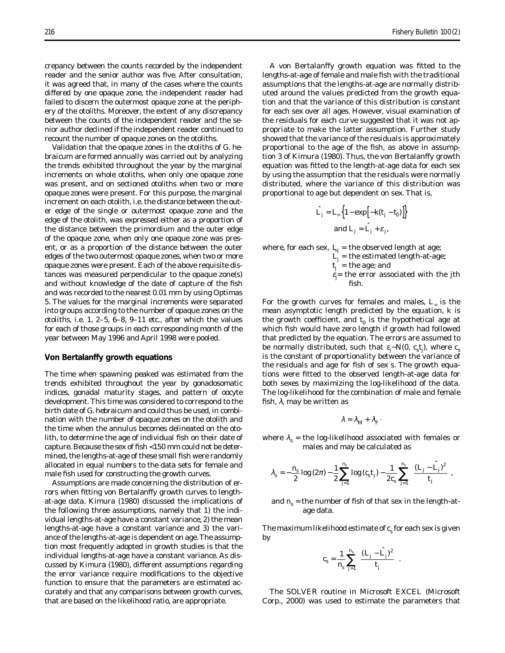crepancy between the counts recorded by the independent reader and the senior author was five. After consultation, it was agreed that, in many of the cases where the counts differed by one opaque zone, the independent reader had failed to discern the outermost opaque zone at the periphery of the otoliths. Moreover, the extent of any discrepancy between the counts of the independent reader and the senior author declined if the independent reader continued to recount the number of opaque zones on the otoliths.

Validation that the opaque zones in the otoliths of *G. hebraicum* are formed annually was carried out by analyzing the trends exhibited throughout the year by the marginal increments on whole otoliths, when only one opaque zone was present, and on sectioned otoliths when two or more opaque zones were present. For this purpose, the marginal increment on each otolith, i.e. the distance between the outer edge of the single or outermost opaque zone and the edge of the otolith, was expressed either as a proportion of the distance between the primordium and the outer edge of the opaque zone, when only one opaque zone was present, or as a proportion of the distance between the outer edges of the two outermost opaque zones, when two or more opaque zones were present. Each of the above requisite distances was measured perpendicular to the opaque zone(s) and without knowledge of the date of capture of the fish and was recorded to the nearest 0.01 mm by using Optimas 5. The values for the marginal increments were separated into groups according to the number of opaque zones on the otoliths, i.e. 1, 2–5, 6–8, 9–11 etc., after which the values for each of those groups in each corresponding month of the year between May 1996 and April 1998 were pooled.

#### **Von Bertalanffy growth equations**

The time when spawning peaked was estimated from the trends exhibited throughout the year by gonadosomatic indices, gonadal maturity stages, and pattern of oocyte development. This time was considered to correspond to the birth date of *G. hebraicum* and could thus be used, in combination with the number of opaque zones on the otolith and the time when the annulus becomes delineated on the otolith, to determine the age of individual fish on their date of capture. Because the sex of fish <150 mm could not be determined, the lengths-at-age of these small fish were randomly allocated in equal numbers to the data sets for female and male fish used for constructing the growth curves.

Assumptions are made concerning the distribution of errors when fitting von Bertalanffy growth curves to lengthat-age data. Kimura (1980) discussed the implications of the following three assumptions, namely that 1) the individual lengths-at-age have a constant variance, 2) the mean lengths-at-age have a constant variance and 3) the variance of the lengths-at-age is dependent on age. The assumption most frequently adopted in growth studies is that the individual lengths-at-age have a constant variance. As discussed by Kimura (1980), different assumptions regarding the error variance require modifications to the objective function to ensure that the parameters are estimated accurately and that any comparisons between growth curves, that are based on the likelihood ratio, are appropriate.

A von Bertalanffy growth equation was fitted to the lengths-at-age of female and male fish with the traditional assumptions that the lengths-at-age are normally distributed around the values predicted from the growth equation and that the variance of this distribution is constant for each sex over all ages. However, visual examination of the residuals for each curve suggested that it was not appropriate to make the latter assumption. Further study showed that the variance of the residuals is approximately proportional to the age of the fish, as above in assumption 3 of Kimura (1980). Thus, the von Bertalanffy growth equation was fitted to the length-at-age data for each sex by using the assumption that the residuals were normally distributed, where the variance of this distribution was proportional to age but dependent on sex. That is,

$$
\hat{L}_j = L_{\infty} \Big\{ 1 - \exp \Big[ -k(t_j - t_0) \Big] \Big\}
$$
  
and 
$$
L_j = \hat{L}_j + \varepsilon_j
$$
,

where, for each sex,  $L_{j}$  = the observed length at age;

 $L_j$  = the estimated length-at-age;

 $t_j$  = the age; and

εj = the error associated with the *j*th fish.

For the growth curves for females and males, *L*<sup>∞</sup> is the mean asymptotic length predicted by the equation, *k* is the growth coefficient, and  $t_0$  is the hypothetical age at which fish would have zero length if growth had followed that predicted by the equation. The errors are assumed to be normally distributed, such that  $\varepsilon_{\vec{j}}$   $\sim$   $N(0, \ c_{s}t_{\vec{j}})$ , where  $c_{s}$ is the constant of proportionality between the variance of the residuals and age for fish of sex *s*. The growth equations were fitted to the observed length-at-age data for both sexes by maximizing the log-likelihood of the data. The log-likelihood for the combination of male and female fish,  $\lambda$ , may be written as

$$
\lambda = \lambda_M + \lambda_F
$$

where  $\lambda_s$  = the log-likelihood associated with females or males and may be calculated as

$$
\lambda_{s} = -\frac{n_{s}}{2} \log{(2\pi)} - \frac{1}{2} \sum_{j=1}^{n_{s}} \log{(c_{s}t_{j})} - \frac{1}{2 c_{s}} \sum_{j=1}^{n_{s}} \left\{ \frac{(L_{j} - \hat{L}_{j})^{2}}{t_{j}} \right\},\,
$$

and  $n<sub>s</sub>$  = the number of fish of that sex in the length-atage data.

The maximum likelihood estimate of  $c<sub>s</sub>$  for each sex is given by

$$
c_s = \frac{1}{n_s} \sum_{j=1}^{n_s} \left\{ \frac{(L_j - \hat{L}_j)^2}{t_j} \right\}.
$$

The SOLVER routine in Microsoft EXCEL (Microsoft Corp., 2000) was used to estimate the parameters that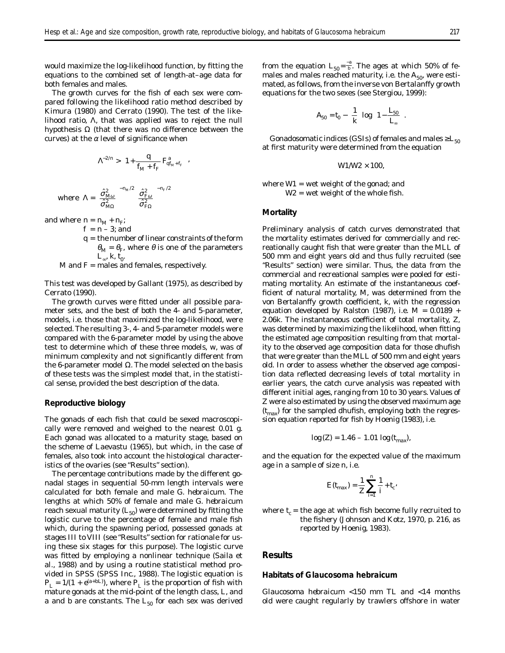would maximize the log-likelihood function, by fitting the equations to the combined set of length-at–age data for both females and males.

The growth curves for the fish of each sex were compared following the likelihood ratio method described by Kimura (1980) and Cerrato (1990). The test of the likelihood ratio, Λ, that was applied was to reject the null hypothesis  $Ω$  (that there was no difference between the curves) at the  $\alpha$  level of significance when

$$
\Lambda^{-2/n} > \left(1 + \frac{q}{f_M + f_F} F_{qf_M + f_F}^a\right),\,
$$

where 
$$
\Lambda = \left(\frac{\hat{\sigma}_{M\omega}^2}{\hat{\sigma}_{M\Omega}^2}\right)^{-n_M/2} \left(\frac{\hat{\sigma}_{F\omega}^2}{\hat{\sigma}_{F\Omega}^2}\right)^{-n_F/2}
$$

and where  $n = n_M + n_F$ ;

 $f = n - 3$ ; and

*q* = the number of linear constraints of the form  $\theta_M = \theta_F$ , where  $\theta$  is one of the parameters  $L_{\infty}$ ,  $k, t_0$ .

*M* and *F* = males and females, respectively.

This test was developed by Gallant (1975), as described by Cerrato (1990).

The growth curves were fitted under all possible parameter sets, and the best of both the 4- and 5-parameter, models, i.e. those that maximized the log-likelihood, were selected. The resulting 3-, 4- and 5-parameter models were compared with the 6-parameter model by using the above test to determine which of these three models, *w*, was of minimum complexity and not significantly different from the 6-parameter model  $Ω$ . The model selected on the basis of these tests was the simplest model that, in the statistical sense, provided the best description of the data.

#### **Reproductive biology**

The gonads of each fish that could be sexed macroscopically were removed and weighed to the nearest 0.01 g. Each gonad was allocated to a maturity stage, based on the scheme of Laevastu (1965), but which, in the case of females, also took into account the histological characteristics of the ovaries (see "Results" section).

The percentage contributions made by the different gonadal stages in sequential 50-mm length intervals were calculated for both female and male *G. hebraicum.* The lengths at which 50% of female and male *G. hebraicum*  reach sexual maturity  $(L_{50})$  were determined by fitting the logistic curve to the percentage of female and male fish which, during the spawning period, possessed gonads at stages III to VIII (see "Results" section for rationale for using these six stages for this purpose). The logistic curve was fitted by employing a nonlinear technique (Saila et al., 1988) and by using a routine statistical method provided in SPSS (SPSS Inc., 1988). The logistic equation is  $P_L = 1/(1 + e^{(a+bL)})$ , where  $P_L$  is the proportion of fish with mature gonads at the mid-point of the length class, *L*, and *a* and *b* are constants. The  $L_{50}$  for each sex was derived

from the equation  $L_{50} = \frac{-a}{b}$ . The ages at which 50% of females and males reached maturity, i.e. the  $A_{50}$ , were estimated, as follows, from the inverse von Bertalanffy growth equations for the two sexes (see Stergiou, 1999):

$$
A_{50}=t_0-\left(\frac{1}{k}\right)\log\left(1-\frac{L_{50}}{L_{\infty}}\right).
$$

Gonadosomatic indices (GSIs) of females and males  $\geq L_{50}$ at first maturity were determined from the equation

$$
W1/W2\times 100,
$$

where *W*1 = wet weight of the gonad; and *W*2 = wet weight of the whole fish.

#### **Mortality**

Preliminary analysis of catch curves demonstrated that the mortality estimates derived for commercially and recreationally caught fish that were greater than the MLL of 500 mm and eight years old and thus fully recruited (see "Results" section) were similar. Thus, the data from the commercial and recreational samples were pooled for estimating mortality. An estimate of the instantaneous coefficient of natural mortality, *M*, was determined from the von Bertalanffy growth coefficient, *k*, with the regression equation developed by Ralston (1987), i.e.  $M = 0.0189 +$ 2.06*k*. The instantaneous coefficient of total mortality, *Z,*  was determined by maximizing the likelihood, when fitting the estimated age composition resulting from that mortality to the observed age composition data for those dhufish that were greater than the MLL of 500 mm and eight years old. In order to assess whether the observed age composition data reflected decreasing levels of total mortality in earlier years, the catch curve analysis was repeated with different initial ages, ranging from 10 to 30 years. Values of *Z* were also estimated by using the observed maximum age (*tmax*) for the sampled dhufish, employing both the regression equation reported for fish by Hoenig (1983), i.e.

$$
\log(Z) = 1.46 - 1.01 \log(t_{\text{max}}),
$$

and the equation for the expected value of the maximum age in a sample of size *n*, i.e.

$$
E(t_{\max}) = \frac{1}{Z} \sum_{i=1}^{n} \frac{1}{i} + t_c.
$$

where  $t_c$  = the age at which fish become fully recruited to the fishery (Johnson and Kotz, 1970, p. 216, as reported by Hoenig, 1983).

## **Results**

#### **Habitats of** *Glaucosoma hebraicum*

*Glaucosoma hebraicum* <150 mm TL and <14 months old were caught regularly by trawlers offshore in water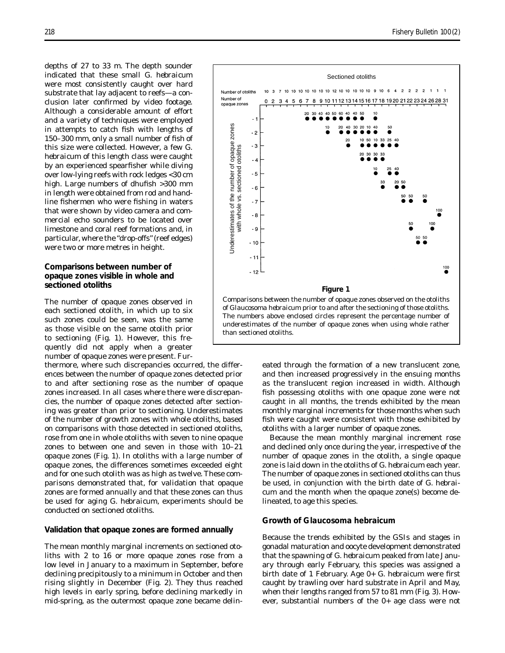depths of 27 to 33 m. The depth sounder indicated that these small *G. hebraicum*  were most consistently caught over hard substrate that lay adjacent to reefs—a conclusion later confirmed by video footage. Although a considerable amount of effort and a variety of techniques were employed in attempts to catch fish with lengths of 150–300 mm, only a small number of fish of this size were collected. However, a few *G. hebraicum* of this length class were caught by an experienced spearfisher while diving over low-lying reefs with rock ledges <30 cm high. Large numbers of dhufish >300 mm in length were obtained from rod and handline fishermen who were fishing in waters that were shown by video camera and commercial echo sounders to be located over limestone and coral reef formations and, in particular, where the "drop-offs" (reef edges) were two or more metres in height.

## **Comparisons between number of opaque zones visible in whole and sectioned otoliths**

The number of opaque zones observed in each sectioned otolith, in which up to six such zones could be seen, was the same as those visible on the same otolith prior to sectioning (Fig. 1). However, this frequently did not apply when a greater number of opaque zones were present. Fur

thermore, where such discrepancies occurred, the differ ences between the number of opaque zones detected prior to and after sectioning rose as the number of opaque zones increased. In all cases where there were discrepan cies, the number of opaque zones detected after section ing was greater than prior to sectioning. Underestimates of the number of growth zones with whole otoliths, based on comparisons with those detected in sectioned otoliths, rose from one in whole otoliths with seven to nine opaque zones to between one and seven in those with 10–21 opaque zones (Fig. 1). In otoliths with a large number of opaque zones, the differences sometimes exceeded eight and for one such otolith was as high as twelve. These com parisons demonstrated that, for validation that opaque zones are formed annually and that these zones can thus be used for aging *G. hebraicum,* experiments should be conducted on sectioned otoliths.

#### **Validation that opaque zones are formed annually**

The mean monthly marginal increments on sectioned otoliths with 2 to 16 or more opaque zones rose from a low level in January to a maximum in September, before declining precipitously to a minimum in October and then rising slightly in December (Fig. 2). They thus reached high levels in early spring, before declining markedly in mid-spring, as the outermost opaque zone became delin-



eated through the formation of a new translucent zone, and then increased progressively in the ensuing months as the translucent region increased in width. Although fish possessing otoliths with one opaque zone were not caught in all months, the trends exhibited by the mean monthly marginal increments for those months when such fish were caught were consistent with those exhibited by otoliths with a larger number of opaque zones.

Because the mean monthly marginal increment rose and declined only once during the year, irrespective of the number of opaque zones in the otolith, a single opaque zone is laid down in the otoliths of *G. hebraicum* each year. The number of opaque zones in sectioned otoliths can thus be used, in conjunction with the birth date of *G. hebraicum* and the month when the opaque zone(s) become delineated, to age this species.

#### **Growth of** *Glaucosoma hebraicum*

Because the trends exhibited by the GSIs and stages in gonadal maturation and oocyte development demonstrated that the spawning of *G. hebraicum* peaked from late January through early February, this species was assigned a birth date of 1 February. Age 0+ *G. hebraicum* were first caught by trawling over hard substrate in April and May, when their lengths ranged from 57 to 81 mm (Fig. 3). However, substantial numbers of the 0+ age class were not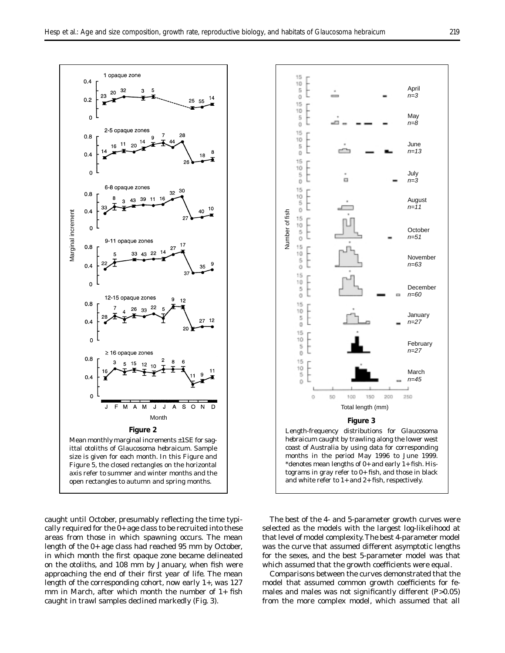

caught until October, presumably reflecting the time typically required for the 0+ age class to be recruited into these areas from those in which spawning occurs. The mean length of the 0+ age class had reached 95 mm by October, in which month the first opaque zone became delineated on the otoliths, and 108 mm by January, when fish were approaching the end of their first year of life. The mean length of the corresponding cohort, now early 1+, was 127 mm in March, after which month the number of 1+ fish caught in trawl samples declined markedly (Fig. 3).



The best of the 4- and 5-parameter growth curves were selected as the models with the largest log-likelihood at that level of model complexity. The best 4-parameter model was the curve that assumed different asymptotic lengths for the sexes, and the best 5-parameter model was that which assumed that the growth coefficients were equal.

Comparisons between the curves demonstrated that the model that assumed common growth coefficients for females and males was not significantly different (*P*>0.05)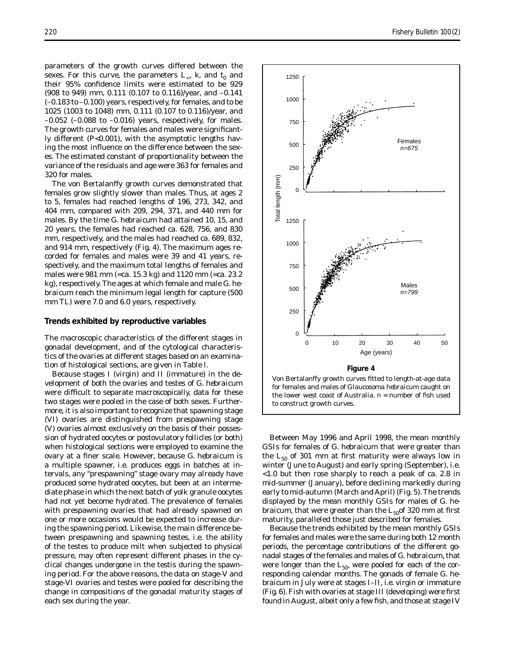parameters of the growth curves differed between the sexes. For this curve, the parameters  $L_{\infty}$ , k, and  $t_0$  and their 95% confidence limits were estimated to be 929 (908 to 949) mm, 0.111 (0.107 to 0.116)/year, and –0.141 (–0.183 to –0.100) years, respectively, for females, and to be 1025 (1003 to 1048) mm, 0.111 (0.107 to 0.116)/year, and  $-0.052$  ( $-0.088$  to  $-0.016$ ) years, respectively, for males. The growth curves for females and males were significantly different (*P*<0.001), with the asymptotic lengths having the most influence on the difference between the sexes. The estimated constant of proportionality between the variance of the residuals and age were 363 for females and 320 for males.

The von Bertalanffy growth curves demonstrated that females grow slightly slower than males. Thus, at ages 2 to 5, females had reached lengths of 196, 273, 342, and 404 mm, compared with 209, 294, 371, and 440 mm for males. By the time *G. hebraicum* had attained 10, 15, and 20 years, the females had reached ca. 628, 756, and 830 mm, respectively, and the males had reached ca. 689, 832, and 914 mm, respectively (Fig. 4). The maximum ages recorded for females and males were 39 and 41 years, respectively, and the maximum total lengths of females and males were 981 mm (=ca. 15.3 kg) and 1120 mm (=ca. 23.2 kg), respectively. The ages at which female and male *G. hebraicum* reach the minimum legal length for capture (500 mm TL) were 7.0 and 6.0 years, respectively.

#### **Trends exhibited by reproductive variables**

The macroscopic characteristics of the different stages in gonadal development, and of the cytological characteristics of the ovaries at different stages based on an examination of histological sections, are given in Table l.

Because stages I (virgin) and II (immature) in the development of both the ovaries and testes of *G. hebraicum*  were difficult to separate macroscopically, data for these two stages were pooled in the case of both sexes. Furthermore, it is also important to recognize that spawning stage (VI) ovaries are distinguished from prespawning stage (V) ovaries almost exclusively on the basis of their possession of hydrated oocytes or postovulatory follicles (or both) when histological sections were employed to examine the ovary at a finer scale. However, because *G. hebraicum* is a multiple spawner, i.e. produces eggs in batches at intervals, any "prespawning" stage ovary may already have produced some hydrated oocytes, but been at an intermediate phase in which the next batch of yolk granule oocytes had not yet become hydrated. The prevalence of females with prespawning ovaries that had already spawned on one or more occasions would be expected to increase during the spawning period. Likewise, the main difference between prespawning and spawning testes, i.e. the ability of the testes to produce milt when subjected to physical pressure, may often represent different phases in the cyclical changes undergone in the testis during the spawning period. For the above reasons, the data on stage-V and stage-VI ovaries and testes were pooled for describing the change in compositions of the gonadal maturity stages of each sex during the year.



Von Bertalanffy growth curves fitted to length-at-age data for females and males of *Glaucosoma hebraicum* caught on the lower west coast of Australia. *n* = number of fish used to construct growth curves.

Between May 1996 and April 1998, the mean monthly GSIs for females of *G. hebraicum* that were greater than the  $L_{50}$  of 301 mm at first maturity were always low in winter (June to August) and early spring (September), i.e. <1.0 but then rose sharply to reach a peak of ca. 2.8 in mid-summer (January), before declining markedly during early to mid-autumn (March and April) (Fig. 5). The trends displayed by the mean monthly GSIs for males of *G. hebraicum*, that were greater than the  $L_{50}$  of 320 mm at first maturity, paralleled those just described for females.

Because the trends exhibited by the mean monthly GSIs for females and males were the same during both 12 month periods, the percentage contributions of the different gonadal stages of the females and males of *G. hebraicum*, that were longer than the  $L_{50}$ , were pooled for each of the corresponding calendar months. The gonads of female *G. hebraicum* in July were at stages I–II, i.e. virgin or immature (Fig. 6). Fish with ovaries at stage III (developing) were first found in August, albeit only a few fish, and those at stage IV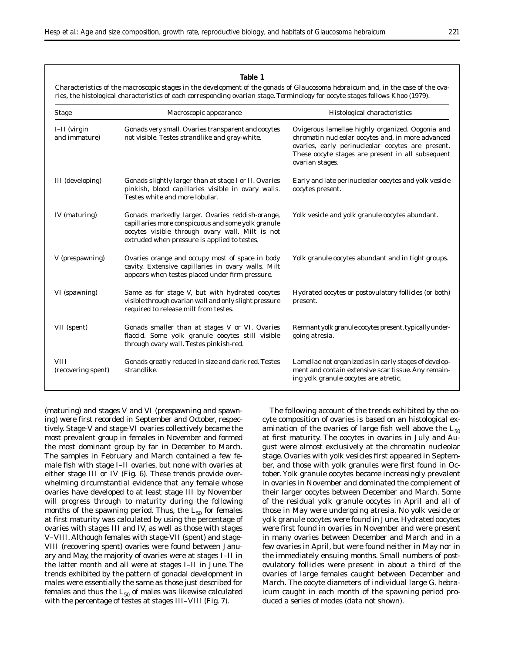## **Table 1**

Characteristics of the macroscopic stages in the development of the gonads of *Glaucosoma hebraicum* and, in the case of the ovaries, the histological characteristics of each corresponding ovarian stage. Terminology for oocyte stages follows Khoo (1979).

| <b>Stage</b>                      | Macroscopic appearance                                                                                                                                                                                   | Histological characteristics                                                                                                                                                                                                       |
|-----------------------------------|----------------------------------------------------------------------------------------------------------------------------------------------------------------------------------------------------------|------------------------------------------------------------------------------------------------------------------------------------------------------------------------------------------------------------------------------------|
| $I-II$ (virgin<br>and immature)   | Gonads very small. Ovaries transparent and oocytes<br>not visible. Testes strandlike and gray-white.                                                                                                     | Ovigerous lamellae highly organized. Oogonia and<br>chromatin nucleolar oocytes and, in more advanced<br>ovaries, early perinucleolar oocytes are present.<br>These oocyte stages are present in all subsequent<br>ovarian stages. |
| III (developing)                  | Gonads slightly larger than at stage I or II. Ovaries<br>pinkish, blood capillaries visible in ovary walls.<br>Testes white and more lobular.                                                            | Early and late perinucleolar oocytes and yolk vesicle<br>oocytes present.                                                                                                                                                          |
| IV (maturing)                     | Gonads markedly larger. Ovaries reddish-orange,<br>capillaries more conspicuous and some yolk granule<br>oocytes visible through ovary wall. Milt is not<br>extruded when pressure is applied to testes. | Yolk vesicle and yolk granule oocytes abundant.                                                                                                                                                                                    |
| V (prespawning)                   | Ovaries orange and occupy most of space in body<br>cavity. Extensive capillaries in ovary walls. Milt<br>appears when testes placed under firm pressure.                                                 | Yolk granule oocytes abundant and in tight groups.                                                                                                                                                                                 |
| VI (spawning)                     | Same as for stage V, but with hydrated oocytes<br>visible through ovarian wall and only slight pressure<br>required to release milt from testes.                                                         | Hydrated oocytes or postovulatory follicles (or both)<br>present.                                                                                                                                                                  |
| VII (spent)                       | Gonads smaller than at stages V or VI. Ovaries<br>flaccid. Some yolk granule oocytes still visible<br>through ovary wall. Testes pinkish-red.                                                            | Remnant yolk granule oocytes present, typically under-<br>going atresia.                                                                                                                                                           |
| <b>VIII</b><br>(recovering spent) | Gonads greatly reduced in size and dark red. Testes<br>strandlike.                                                                                                                                       | Lamellae not organized as in early stages of develop-<br>ment and contain extensive scar tissue. Any remain-<br>ing yolk granule oocytes are atretic.                                                                              |

(maturing) and stages V and VI (prespawning and spawning) were first recorded in September and October, respectively. Stage-V and stage-VI ovaries collectively became the most prevalent group in females in November and formed the most dominant group by far in December to March. The samples in February and March contained a few female fish with stage I–II ovaries, but none with ovaries at either stage III or IV (Fig. 6). These trends provide overwhelming circumstantial evidence that any female whose ovaries have developed to at least stage III by November will progress through to maturity during the following months of the spawning period. Thus, the  $L_{50}$  for females at first maturity was calculated by using the percentage of ovaries with stages III and IV, as well as those with stages V–VIII. Although females with stage-VII (spent) and stage-VIII (recovering spent) ovaries were found between January and May, the majority of ovaries were at stages I–II in the latter month and all were at stages I–II in June. The trends exhibited by the pattern of gonadal development in males were essentially the same as those just described for females and thus the  $L_{50}$  of males was likewise calculated with the percentage of testes at stages III–VIII (Fig. 7).

The following account of the trends exhibited by the oocyte composition of ovaries is based on an histological examination of the ovaries of large fish well above the  $L_{50}$ at first maturity. The oocytes in ovaries in July and August were almost exclusively at the chromatin nucleolar stage. Ovaries with yolk vesicles first appeared in September, and those with yolk granules were first found in October. Yolk granule oocytes became increasingly prevalent in ovaries in November and dominated the complement of their larger oocytes between December and March. Some of the residual yolk granule oocytes in April and all of those in May were undergoing atresia. No yolk vesicle or yolk granule oocytes were found in June. Hydrated oocytes were first found in ovaries in November and were present in many ovaries between December and March and in a few ovaries in April, but were found neither in May nor in the immediately ensuing months. Small numbers of postovulatory follicles were present in about a third of the ovaries of large females caught between December and March. The oocyte diameters of individual large *G. hebraicum* caught in each month of the spawning period produced a series of modes (data not shown).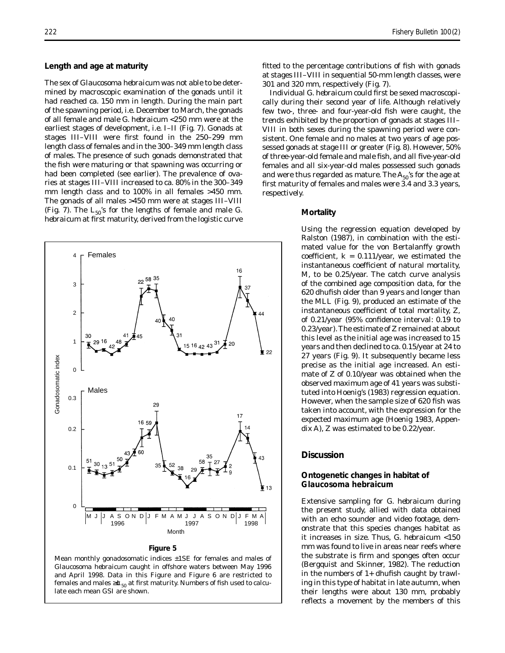#### **Length and age at maturity**

The sex of *Glaucosoma hebraicum* was not able to be determined by macroscopic examination of the gonads until it had reached ca. 150 mm in length. During the main part of the spawning period, i.e. December to March, the gonads of all female and male *G. hebraicum* <250 mm were at the earliest stages of development, i.e. I–II (Fig. 7). Gonads at stages III–VIII were first found in the 250–299 mm length class of females and in the 300–349 mm length class of males. The presence of such gonads demonstrated that the fish were maturing or that spawning was occurring or had been completed (see earlier). The prevalence of ovaries at stages III–VIII increased to ca. 80% in the 300–349 mm length class and to 100% in all females >450 mm. The gonads of all males >450 mm were at stages III–VIII (Fig. 7). The  $L_{50}$ 's for the lengths of female and male  $G$ . *hebraicum* at first maturity, derived from the logistic curve



## Mean monthly gonadosomatic indices ±1SE for females and males of *Glaucosoma hebraicum* caught in offshore waters between May 1996 and April 1998. Data in this Figure and Figure 6 are restricted to females and males ≥ $\sigma$ <sub>50</sub> at first maturity. Numbers of fish used to calculate each mean GSI are shown.

fitted to the percentage contributions of fish with gonads at stages III–VIII in sequential 50-mm length classes, were 301 and 320 mm, respectively (Fig. 7).

Individual *G. hebraicum* could first be sexed macroscopically during their second year of life. Although relatively few two-, three- and four-year-old fish were caught, the trends exhibited by the proportion of gonads at stages III– VIII in both sexes during the spawning period were consistent. One female and no males at two years of age possessed gonads at stage III or greater (Fig. 8). However, 50% of three-year-old female and male fish, and all five-year-old females and all six-year-old males possessed such gonads and were thus regarded as mature. The  $A_{50}$ 's for the age at first maturity of females and males were 3.4 and 3.3 years, respectively.

#### **Mortality**

Using the regression equation developed by Ralston (1987), in combination with the estimated value for the von Bertalanffy growth coefficient,  $k = 0.111$ /year, we estimated the instantaneous coefficient of natural mortality, *M*, to be 0.25/year. The catch curve analysis of the combined age composition data, for the 620 dhufish older than 9 years and longer than the MLL (Fig. 9), produced an estimate of the instantaneous coefficient of total mortality, *Z*, of 0.21/year (95% confidence interval: 0.19 to 0.23/year). The estimate of *Z* remained at about this level as the initial age was increased to 15 years and then declined to ca. 0.15/year at 24 to 27 years (Fig. 9). It subsequently became less precise as the initial age increased. An estimate of *Z* of 0.10/year was obtained when the observed maximum age of 41 years was substituted into Hoenig's (1983) regression equation. However, when the sample size of 620 fish was taken into account, with the expression for the expected maximum age (Hoenig 1983, Appendix A), *Z* was estimated to be 0.22/year.

#### **Discussion**

## **Ontogenetic changes in habitat of**  *Glaucosoma hebraicum*

Extensive sampling for *G. hebraicum* during the present study, allied with data obtained with an echo sounder and video footage, demonstrate that this species changes habitat as it increases in size. Thus, *G. hebraicum* <150 mm was found to live in areas near reefs where the substrate is firm and sponges often occur (Bergquist and Skinner, 1982). The reduction in the numbers of 1+ dhufish caught by trawling in this type of habitat in late autumn, when their lengths were about 130 mm, probably reflects a movement by the members of this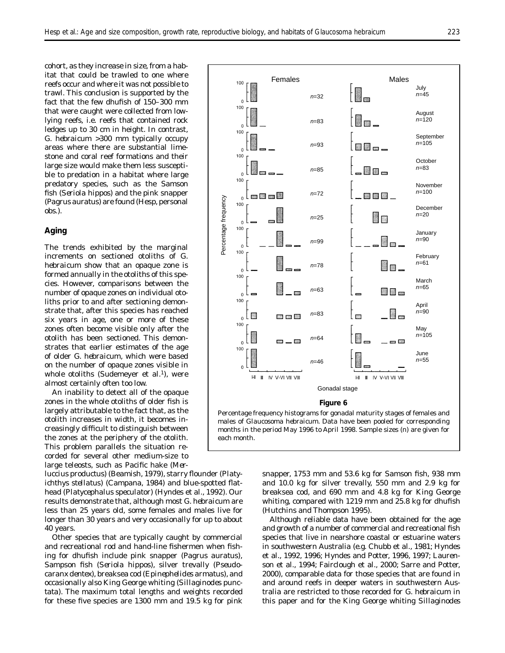cohort, as they increase in size, from a habitat that could be trawled to one where reefs occur and where it was not possible to trawl. This conclusion is supported by the fact that the few dhufish of 150–300 mm that were caught were collected from lowlying reefs, i.e. reefs that contained rock ledges up to 30 cm in height. In contrast, *G. hebraicum* >300 mm typically occupy areas where there are substantial limestone and coral reef formations and their large size would make them less susceptible to predation in a habitat where large predatory species, such as the Samson fish (*Seriola hippos*) and the pink snapper (*Pagrus auratus*) are found (Hesp, personal obs.).

#### **Aging**

The trends exhibited by the marginal increments on sectioned otoliths of *G. hebraicum* show that an opaque zone is formed annually in the otoliths of this species. However, comparisons between the number of opaque zones on individual otoliths prior to and after sectioning demonstrate that, after this species has reached six years in age, one or more of these zones often become visible only after the otolith has been sectioned. This demonstrates that earlier estimates of the age of older *G. hebraicum*, which were based on the number of opaque zones visible in whole otoliths (Sudemeyer et al.<sup>1</sup>), were almost certainly often too low.

An inability to detect all of the opaque zones in the whole otoliths of older fish is largely attributable to the fact that, as the otolith increases in width, it becomes increasingly difficult to distinguish between the zones at the periphery of the otolith. This problem parallels the situation recorded for several other medium-size to large teleosts, such as Pacific hake (*Mer-*

less than 25 years old, some females and males live for (Hutchins and Thompson 1995). longer than 30 years and very occasionally for up to about Although reliable data have been obtained for the age



Percentage frequency histograms for gonadal maturity stages of females and males of *Glaucosoma hebraicum*. Data have been pooled for corresponding months in the period May 1996 to April 1998. Sample sizes (*n*) are given for each month.

*luccius productus*) (Beamish, 1979), starry flounder (*Platy-* snapper, 1753 mm and 53.6 kg for Samson fish, 938 mm *ichthys stellatus*) (Campana, 1984) and blue-spotted flat- and 10.0 kg for silver trevally, 550 mm and 2.9 kg for head (*Platycephalus speculato*r*)* (Hyndes et al., 1992). Our breaksea cod, and 690 mm and 4.8 kg for King George results demonstrate that, although most *G. hebraicum* are whiting, compared with 1219 mm and 25.8 kg for dhufish

40 years. and growth of a number of commercial and recreational fish Other species that are typically caught by commercial species that live in nearshore coastal or estuarine waters and recreational rod and hand-line fishermen when fish- in southwestern Australia (e.g. Chubb et al., 1981; Hyndes ing for dhufish include pink snapper (*Pagrus auratus*), et al., 1992, 1996; Hyndes and Potter, 1996, 1997; Lauren-Sampson fish (*Seriola hippos*), silver trevally (*Pseudo-* son et al., 1994; Fairclough et al., 2000; Sarre and Potter, *caranx dentex*), breaksea cod (*Epinephelides armatus*), and 2000), comparable data for those species that are found in occasionally also King George whiting (*Sillaginodes punc-* and around reefs in deeper waters in southwestern Aus*tata*). The maximum total lengths and weights recorded tralia are restricted to those recorded for *G. hebraicum* in for these five species are 1300 mm and 19.5 kg for pink this paper and for the King George whiting *Sillaginodes*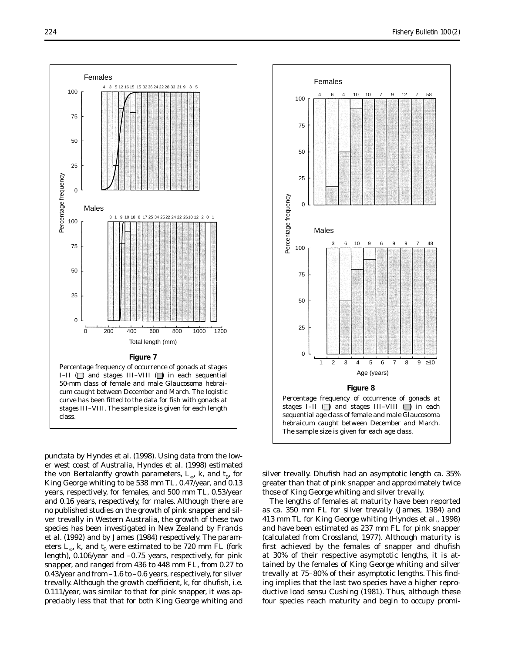



*punctata* by Hyndes et al. (1998). Using data from the lower west coast of Australia, Hyndes et al. (1998) estimated the von Bertalanffy growth parameters,  $L_{\infty}$ , k, and  $t_0$ , for King George whiting to be 538 mm TL, 0.47/year, and 0.13 years, respectively, for females, and 500 mm TL, 0.53/year and 0.16 years, respectively, for males. Although there are no published studies on the growth of pink snapper and silver trevally in Western Australia, the growth of these two species has been investigated in New Zealand by Francis et al. (1992) and by James (1984) respectively. The parameters  $L_{\infty}$ , *k*, and  $t_0$  were estimated to be 720 mm FL (fork length), 0.106/year and –0.75 years, respectively, for pink snapper, and ranged from 436 to 448 mm FL, from 0.27 to 0.43/year and from –1.6 to –0.6 years, respectively, for silver trevally. Although the growth coefficient, *k*, for dhufish, i.e. 0.111/year, was similar to that for pink snapper, it was appreciably less that that for both King George whiting and



silver trevally. Dhufish had an asymptotic length ca. 35% greater than that of pink snapper and approximately twice those of King George whiting and silver trevally.

The lengths of females at maturity have been reported as ca. 350 mm FL for silver trevally (James, 1984) and 413 mm TL for King George whiting (Hyndes et al., 1998) and have been estimated as 237 mm FL for pink snapper (calculated from Crossland, 1977). Although maturity is first achieved by the females of snapper and dhufish at 30% of their respective asymptotic lengths, it is attained by the females of King George whiting and silver trevally at 75–80% of their asymptotic lengths. This finding implies that the last two species have a higher reproductive load *sensu* Cushing (1981). Thus, although these four species reach maturity and begin to occupy promi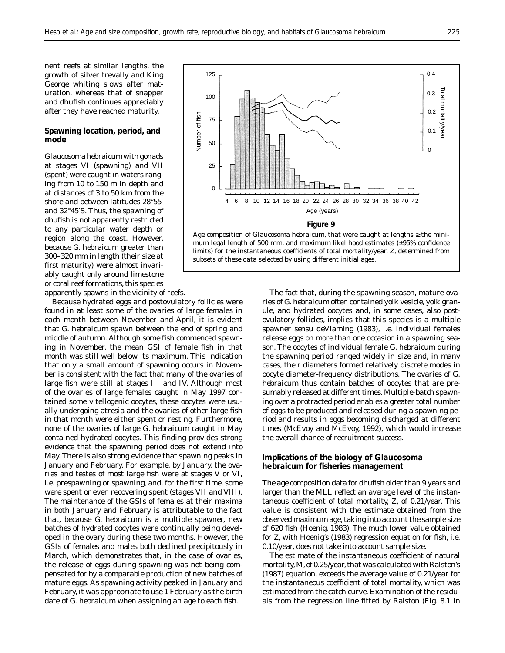nent reefs at similar lengths, the growth of silver trevally and King George whiting slows after maturation, whereas that of snapper and dhufish continues appreciably after they have reached maturity.

#### **Spawning location, period, and mode**

*Glaucosoma hebraicum* with gonads at stages VI (spawning) and VII (spent) were caught in waters ranging from 10 to 150 m in depth and at distances of 3 to 50 km from the shore and between latitudes 28°55′ and 32°45′S. Thus, the spawning of dhufish is not apparently restricted to any particular water depth or region along the coast. However, because *G. hebraicum* greater than 300–320 mm in length (their size at first maturity) were almost invariably caught only around limestone or coral reef formations, this species apparently spawns in the vicinity of reefs.

Because hydrated eggs and postovulatory follicles were found in at least some of the ovaries of large females in each month between November and April, it is evident that *G. hebraicum* spawn between the end of spring and middle of autumn. Although some fish commenced spawning in November, the mean GSI of female fish in that month was still well below its maximum. This indication that only a small amount of spawning occurs in November is consistent with the fact that many of the ovaries of large fish were still at stages III and IV. Although most of the ovaries of large females caught in May 1997 contained some vitellogenic oocytes, these oocytes were usually undergoing atresia and the ovaries of other large fish in that month were either spent or resting. Furthermore, none of the ovaries of large *G. hebraicum* caught in May contained hydrated oocytes. This finding provides strong evidence that the spawning period does not extend into May. There is also strong evidence that spawning peaks in January and February. For example, by January, the ovaries and testes of most large fish were at stages V or VI, i.e. prespawning or spawning, and, for the first time, some were spent or even recovering spent (stages VII and VIII). The maintenance of the GSIs of females at their maxima in both January and February is attributable to the fact that, because *G. hebraicum* is a multiple spawner, new batches of hydrated oocytes were continually being developed in the ovary during these two months. However, the GSIs of females and males both declined precipitously in March, which demonstrates that, in the case of ovaries, the release of eggs during spawning was not being compensated for by a comparable production of new batches of mature eggs. As spawning activity peaked in January and February, it was appropriate to use 1 February as the birth date of *G. hebraicum* when assigning an age to each fish.



The fact that, during the spawning season, mature ovaries of *G. hebraicum* often contained yolk vesicle, yolk granule, and hydrated oocytes and, in some cases, also postovulatory follicles, implies that this species is a multiple spawner *sensu* deVlaming (1983), i.e. individual females release eggs on more than one occasion in a spawning season. The oocytes of individual female *G. hebraicum* during the spawning period ranged widely in size and, in many cases, their diameters formed relatively discrete modes in oocyte diameter-frequency distributions. The ovaries of *G. hebraicum* thus contain batches of oocytes that are presumably released at different times. Multiple-batch spawning over a protracted period enables a greater total number of eggs to be produced and released during a spawning period and results in eggs becoming discharged at different times (McEvoy and McEvoy, 1992), which would increase the overall chance of recruitment success.

## **Implications of the biology of** *Glaucosoma hebraicum* **for fisheries management**

The age composition data for dhufish older than 9 years and larger than the MLL reflect an average level of the instantaneous coefficient of total mortality, *Z*, of 0.21/year. This value is consistent with the estimate obtained from the observed maximum age, taking into account the sample size of 620 fish (Hoenig, 1983). The much lower value obtained for *Z*, with Hoenig's (1983) regression equation for fish, i.e. 0.10/year, does not take into account sample size.

The estimate of the instantaneous coefficient of natural mortality, *M*, of 0.25/year, that was calculated with Ralston's (1987) equation, exceeds the average value of 0.21/year for the instantaneous coefficient of total mortality, which was estimated from the catch curve. Examination of the residuals from the regression line fitted by Ralston (Fig. 8.1 in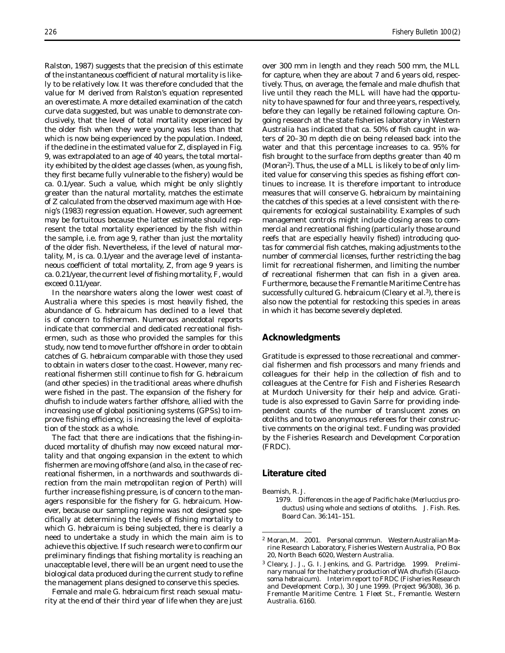Ralston, 1987) suggests that the precision of this estimate of the instantaneous coefficient of natural mortality is likely to be relatively low. It was therefore concluded that the value for *M* derived from Ralston's equation represented an overestimate. A more detailed examination of the catch curve data suggested, but was unable to demonstrate conclusively, that the level of total mortality experienced by the older fish when they were young was less than that which is now being experienced by the population. Indeed, if the decline in the estimated value for *Z*, displayed in Fig. 9, was extrapolated to an age of 40 years, the total mortality exhibited by the oldest age classes (when, as young fish, they first became fully vulnerable to the fishery) would be ca. 0.1/year. Such a value, which might be only slightly greater than the natural mortality, matches the estimate of *Z* calculated from the observed maximum age with Hoenig's (1983) regression equation. However, such agreement may be fortuitous because the latter estimate should represent the total mortality experienced by the fish within the sample, i.e. from age 9, rather than just the mortality of the older fish. Nevertheless, if the level of natural mortality, *M*, is ca. 0.1/year and the average level of instantaneous coefficient of total mortality, *Z*, from age 9 years is ca. 0.21/year, the current level of fishing mortality, *F*, would exceed 0.11/year.

In the nearshore waters along the lower west coast of Australia where this species is most heavily fished, the abundance of *G. hebraicum* has declined to a level that is of concern to fishermen. Numerous anecdotal reports indicate that commercial and dedicated recreational fishermen, such as those who provided the samples for this study, now tend to move further offshore in order to obtain catches of *G. hebraicum* comparable with those they used to obtain in waters closer to the coast. However, many recreational fishermen still continue to fish for *G. hebraicum*  (and other species) in the traditional areas where dhufish were fished in the past. The expansion of the fishery for dhufish to include waters farther offshore, allied with the increasing use of global positioning systems (GPSs) to improve fishing efficiency, is increasing the level of exploitation of the stock as a whole.

The fact that there are indications that the fishing-induced mortality of dhufish may now exceed natural mortality and that ongoing expansion in the extent to which fishermen are moving offshore (and also, in the case of recreational fishermen, in a northwards and southwards direction from the main metropolitan region of Perth) will further increase fishing pressure, is of concern to the managers responsible for the fishery for *G. hebraicum*. However, because our sampling regime was not designed specifically at determining the levels of fishing mortality to which *G*. *hebraicum* is being subjected, there is clearly a need to undertake a study in which the main aim is to achieve this objective. If such research were to confirm our preliminary findings that fishing mortality is reaching an unacceptable level, there will be an urgent need to use the biological data produced during the current study to refine the management plans designed to conserve this species.

Female and male *G. hebraicum* first reach sexual maturity at the end of their third year of life when they are just

over 300 mm in length and they reach 500 mm, the MLL for capture, when they are about 7 and 6 years old, respectively. Thus, on average, the female and male dhufish that live until they reach the MLL will have had the opportunity to have spawned for four and three years, respectively, before they can legally be retained following capture. Ongoing research at the state fisheries laboratory in Western Australia has indicated that ca. 50% of fish caught in waters of 20–30 m depth die on being released back into the water and that this percentage increases to ca. 95% for fish brought to the surface from depths greater than 40 m (Moran2). Thus, the use of a MLL is likely to be of only limited value for conserving this species as fishing effort continues to increase. It is therefore important to introduce measures that will conserve *G. hebraicum* by maintaining the catches of this species at a level consistent with the requirements for ecological sustainability. Examples of such management controls might include closing areas to commercial and recreational fishing (particularly those around reefs that are especially heavily fished) introducing quotas for commercial fish catches, making adjustments to the number of commercial licenses, further restricting the bag limit for recreational fishermen, and limiting the number of recreational fishermen that can fish in a given area. Furthermore, because the Fremantle Maritime Centre has successfully cultured *G. hebraicum* (Cleary et al.<sup>3</sup>), there is also now the potential for restocking this species in areas in which it has become severely depleted.

## **Acknowledgments**

Gratitude is expressed to those recreational and commercial fishermen and fish processors and many friends and colleagues for their help in the collection of fish and to colleagues at the Centre for Fish and Fisheries Research at Murdoch University for their help and advice. Gratitude is also expressed to Gavin Sarre for providing independent counts of the number of translucent zones on otoliths and to two anonymous referees for their constructive comments on the original text. Funding was provided by the Fisheries Research and Development Corporation (FRDC).

## **Literature cited**

Beamish, R. J.

1979. Differences in the age of Pacific hake (*Merluccius productus*) using whole and sections of otoliths. J. Fish. Res. Board Can. 36:141–151.

<sup>2</sup> Moran, M. 2001. Personal commun. Western Australian Marine Research Laboratory, Fisheries Western Australia, PO Box 20, North Beach 6020, Western Australia.

<sup>3</sup> Cleary, J. J., G. I. Jenkins, and G. Partridge. 1999. Preliminary manual for the hatchery production of WA dhufish (*Glaucosoma hebraicum*). Interim report to FRDC (Fisheries Research and Development Corp.), 30 June 1999. (Project 96/308), 36 p. Fremantle Maritime Centre. 1 Fleet St., Fremantle. Western Australia. 6160.